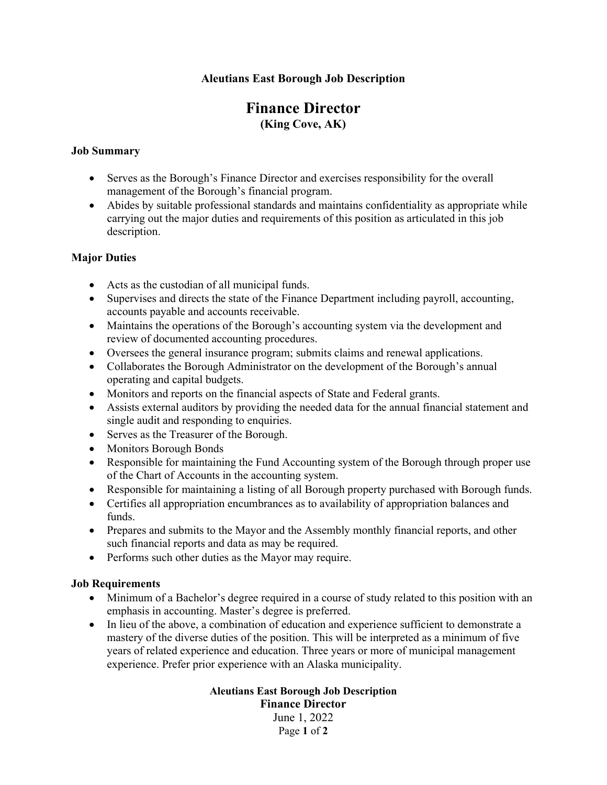## **Aleutians East Borough Job Description**

# **Finance Director (King Cove, AK)**

#### **Job Summary**

- Serves as the Borough's Finance Director and exercises responsibility for the overall management of the Borough's financial program.
- Abides by suitable professional standards and maintains confidentiality as appropriate while carrying out the major duties and requirements of this position as articulated in this job description.

#### **Major Duties**

- Acts as the custodian of all municipal funds.
- Supervises and directs the state of the Finance Department including payroll, accounting, accounts payable and accounts receivable.
- Maintains the operations of the Borough's accounting system via the development and review of documented accounting procedures.
- Oversees the general insurance program; submits claims and renewal applications.
- Collaborates the Borough Administrator on the development of the Borough's annual operating and capital budgets.
- Monitors and reports on the financial aspects of State and Federal grants.
- Assists external auditors by providing the needed data for the annual financial statement and single audit and responding to enquiries.
- Serves as the Treasurer of the Borough.
- Monitors Borough Bonds
- Responsible for maintaining the Fund Accounting system of the Borough through proper use of the Chart of Accounts in the accounting system.
- Responsible for maintaining a listing of all Borough property purchased with Borough funds.
- Certifies all appropriation encumbrances as to availability of appropriation balances and funds.
- Prepares and submits to the Mayor and the Assembly monthly financial reports, and other such financial reports and data as may be required.
- Performs such other duties as the Mayor may require.

### **Job Requirements**

- Minimum of a Bachelor's degree required in a course of study related to this position with an emphasis in accounting. Master's degree is preferred.
- In lieu of the above, a combination of education and experience sufficient to demonstrate a mastery of the diverse duties of the position. This will be interpreted as a minimum of five years of related experience and education. Three years or more of municipal management experience. Prefer prior experience with an Alaska municipality.

**Aleutians East Borough Job Description Finance Director** June 1, 2022 Page **1** of **2**